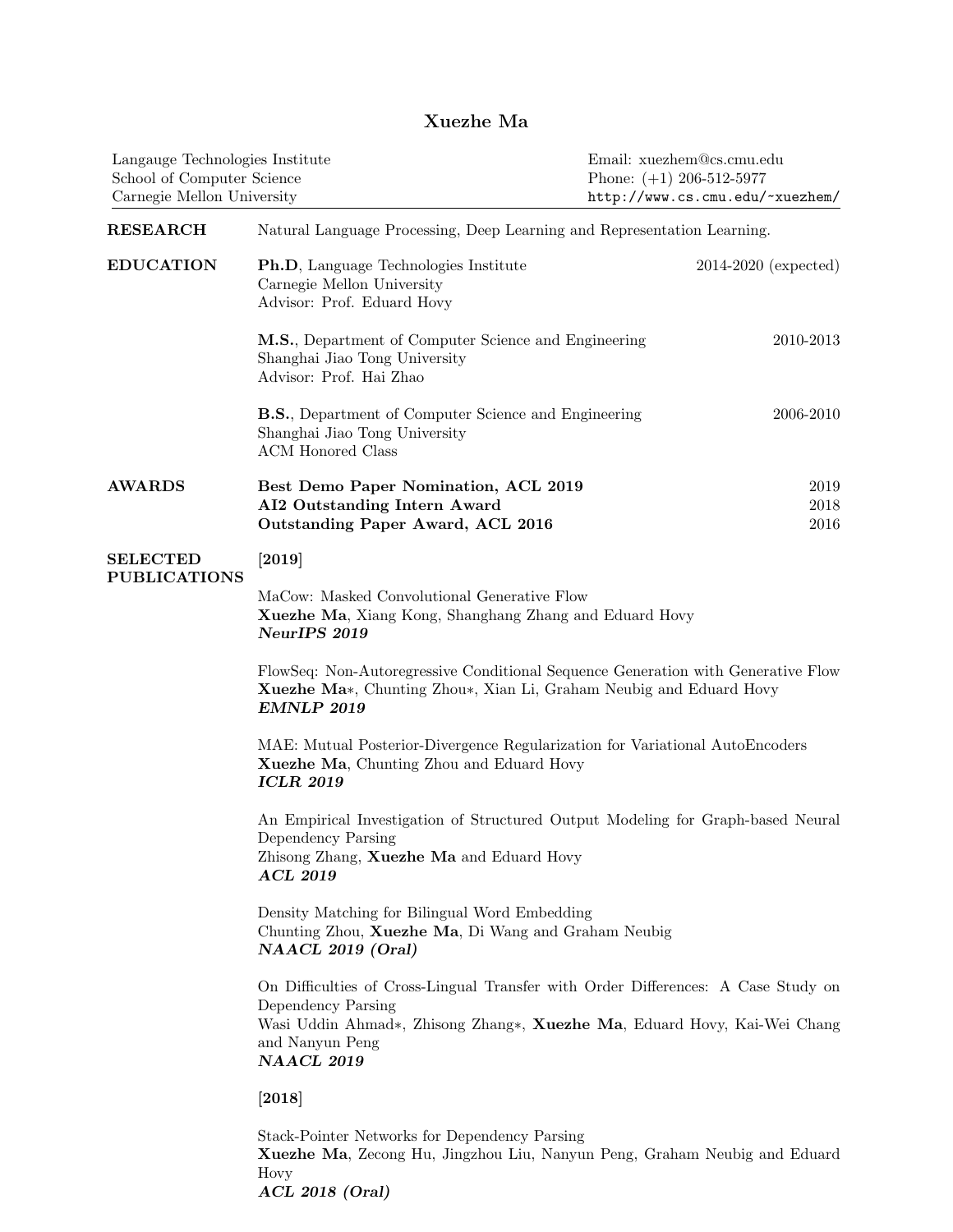## Xuezhe Ma

| Langauge Technologies Institute<br>School of Computer Science<br>Carnegie Mellon University |                                                                                                                                                                                                                             | Email: xuezhem@cs.cmu.edu<br>Phone: $(+1)$ 206-512-5977<br>http://www.cs.cmu.edu/~xuezhem/ |  |  |
|---------------------------------------------------------------------------------------------|-----------------------------------------------------------------------------------------------------------------------------------------------------------------------------------------------------------------------------|--------------------------------------------------------------------------------------------|--|--|
| <b>RESEARCH</b>                                                                             | Natural Language Processing, Deep Learning and Representation Learning.                                                                                                                                                     |                                                                                            |  |  |
| <b>EDUCATION</b>                                                                            | Ph.D, Language Technologies Institute<br>Carnegie Mellon University<br>Advisor: Prof. Eduard Hovy                                                                                                                           | $2014-2020$ (expected)                                                                     |  |  |
|                                                                                             | M.S., Department of Computer Science and Engineering<br>Shanghai Jiao Tong University<br>Advisor: Prof. Hai Zhao                                                                                                            | 2010-2013                                                                                  |  |  |
|                                                                                             | <b>B.S.</b> , Department of Computer Science and Engineering<br>Shanghai Jiao Tong University<br><b>ACM</b> Honored Class                                                                                                   | 2006-2010                                                                                  |  |  |
| <b>AWARDS</b>                                                                               | Best Demo Paper Nomination, ACL 2019<br>AI2 Outstanding Intern Award<br>Outstanding Paper Award, ACL 2016                                                                                                                   | 2019<br>2018<br>2016                                                                       |  |  |
| <b>SELECTED</b><br><b>PUBLICATIONS</b>                                                      | $\left[ 2019\right]$                                                                                                                                                                                                        |                                                                                            |  |  |
|                                                                                             | MaCow: Masked Convolutional Generative Flow<br>Xuezhe Ma, Xiang Kong, Shanghang Zhang and Eduard Hovy<br>NeurIPS 2019                                                                                                       |                                                                                            |  |  |
|                                                                                             | FlowSeq: Non-Autoregressive Conditional Sequence Generation with Generative Flow<br>Xuezhe Ma*, Chunting Zhou*, Xian Li, Graham Neubig and Eduard Hovy<br>EMNLP 2019                                                        |                                                                                            |  |  |
|                                                                                             | MAE: Mutual Posterior-Divergence Regularization for Variational AutoEncoders<br>Xuezhe Ma, Chunting Zhou and Eduard Hovy<br><b>ICLR 2019</b>                                                                                |                                                                                            |  |  |
|                                                                                             | An Empirical Investigation of Structured Output Modeling for Graph-based Neural<br>Dependency Parsing<br>Zhisong Zhang, Xuezhe Ma and Eduard Hovy<br><b>ACL 2019</b>                                                        |                                                                                            |  |  |
|                                                                                             | Density Matching for Bilingual Word Embedding<br>Chunting Zhou, Xuezhe Ma, Di Wang and Graham Neubig<br>NAACL 2019 (Oral)                                                                                                   |                                                                                            |  |  |
|                                                                                             | On Difficulties of Cross-Lingual Transfer with Order Differences: A Case Study on<br>Dependency Parsing<br>Wasi Uddin Ahmad*, Zhisong Zhang*, Xuezhe Ma, Eduard Hovy, Kai-Wei Chang<br>and Nanyun Peng<br><b>NAACL 2019</b> |                                                                                            |  |  |
|                                                                                             | [2018]                                                                                                                                                                                                                      |                                                                                            |  |  |
|                                                                                             | Stack-Pointer Networks for Dependency Parsing<br>Xuezhe Ma, Zecong Hu, Jingzhou Liu, Nanyun Peng, Graham Neubig and Eduard<br>Hovy<br>$ACL$ 2018 (Oral)                                                                     |                                                                                            |  |  |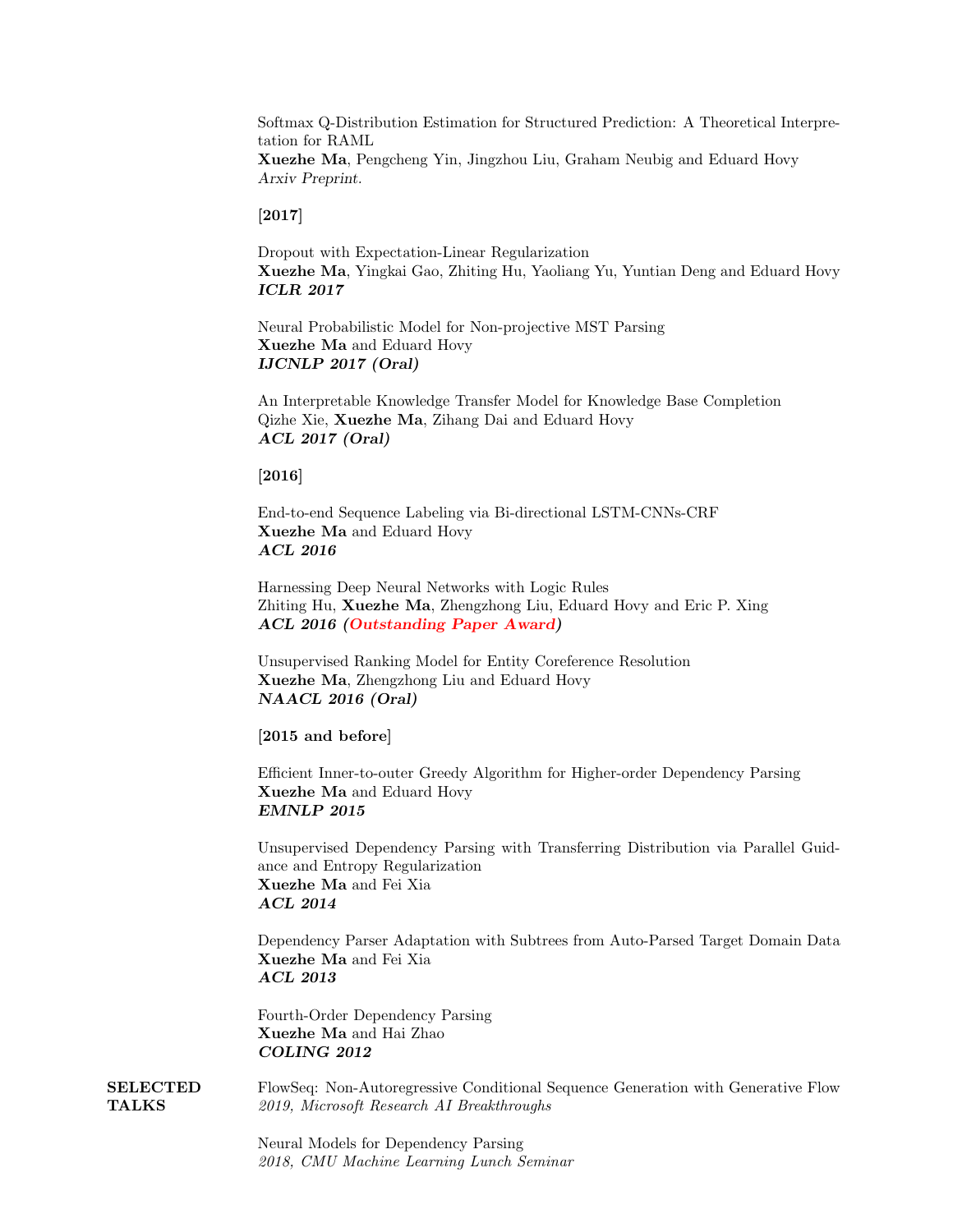Softmax Q-Distribution Estimation for Structured Prediction: A Theoretical Interpretation for RAML Xuezhe Ma, Pengcheng Yin, Jingzhou Liu, Graham Neubig and Eduard Hovy Arxiv Preprint.

[2017]

Dropout with Expectation-Linear Regularization Xuezhe Ma, Yingkai Gao, Zhiting Hu, Yaoliang Yu, Yuntian Deng and Eduard Hovy ICLR 2017

Neural Probabilistic Model for Non-projective MST Parsing Xuezhe Ma and Eduard Hovy IJCNLP 2017 (Oral)

An Interpretable Knowledge Transfer Model for Knowledge Base Completion Qizhe Xie, Xuezhe Ma, Zihang Dai and Eduard Hovy ACL 2017 (Oral)

[2016]

End-to-end Sequence Labeling via Bi-directional LSTM-CNNs-CRF Xuezhe Ma and Eduard Hovy ACL 2016

Harnessing Deep Neural Networks with Logic Rules Zhiting Hu, Xuezhe Ma, Zhengzhong Liu, Eduard Hovy and Eric P. Xing ACL 2016 (Outstanding Paper Award)

Unsupervised Ranking Model for Entity Coreference Resolution Xuezhe Ma, Zhengzhong Liu and Eduard Hovy NAACL 2016 (Oral)

[2015 and before]

Efficient Inner-to-outer Greedy Algorithm for Higher-order Dependency Parsing Xuezhe Ma and Eduard Hovy EMNLP 2015

Unsupervised Dependency Parsing with Transferring Distribution via Parallel Guidance and Entropy Regularization Xuezhe Ma and Fei Xia ACL 2014

Dependency Parser Adaptation with Subtrees from Auto-Parsed Target Domain Data Xuezhe Ma and Fei Xia ACL 2013

Fourth-Order Dependency Parsing Xuezhe Ma and Hai Zhao COLING 2012

SELECTED TALKS FlowSeq: Non-Autoregressive Conditional Sequence Generation with Generative Flow 2019, Microsoft Research AI Breakthroughs

> Neural Models for Dependency Parsing 2018, CMU Machine Learning Lunch Seminar